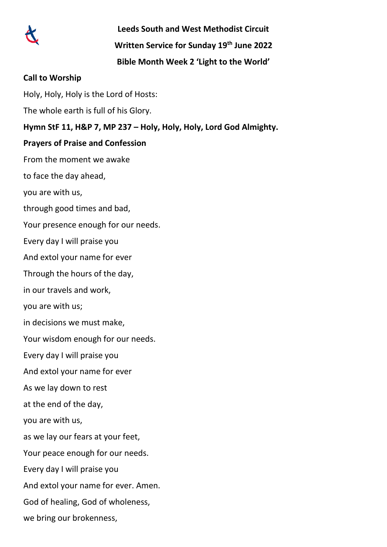

**Leeds South and West Methodist Circuit**

**Written Service for Sunday 19th June 2022**

**Bible Month Week 2 'Light to the World'**

### **Call to Worship**

Holy, Holy, Holy is the Lord of Hosts: The whole earth is full of his Glory. **Hymn StF 11, H&P 7, MP 237 – Holy, Holy, Holy, Lord God Almighty. Prayers of Praise and Confession** From the moment we awake to face the day ahead, you are with us, through good times and bad, Your presence enough for our needs. Every day I will praise you And extol your name for ever Through the hours of the day, in our travels and work, you are with us; in decisions we must make, Your wisdom enough for our needs. Every day I will praise you And extol your name for ever As we lay down to rest at the end of the day, you are with us, as we lay our fears at your feet, Your peace enough for our needs. Every day I will praise you And extol your name for ever. Amen. God of healing, God of wholeness, we bring our brokenness,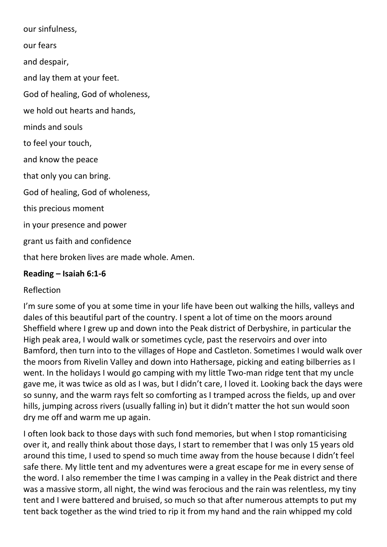our sinfulness,

our fears

and despair,

and lay them at your feet.

God of healing, God of wholeness,

we hold out hearts and hands,

minds and souls

to feel your touch,

and know the peace

that only you can bring.

God of healing, God of wholeness,

this precious moment

in your presence and power

grant us faith and confidence

that here broken lives are made whole. Amen.

### **Reading – Isaiah 6:1-6**

### Reflection

I'm sure some of you at some time in your life have been out walking the hills, valleys and dales of this beautiful part of the country. I spent a lot of time on the moors around Sheffield where I grew up and down into the Peak district of Derbyshire, in particular the High peak area, I would walk or sometimes cycle, past the reservoirs and over into Bamford, then turn into to the villages of Hope and Castleton. Sometimes I would walk over the moors from Rivelin Valley and down into Hathersage, picking and eating bilberries as I went. In the holidays I would go camping with my little Two-man ridge tent that my uncle gave me, it was twice as old as I was, but I didn't care, I loved it. Looking back the days were so sunny, and the warm rays felt so comforting as I tramped across the fields, up and over hills, jumping across rivers (usually falling in) but it didn't matter the hot sun would soon dry me off and warm me up again.

I often look back to those days with such fond memories, but when I stop romanticising over it, and really think about those days, I start to remember that I was only 15 years old around this time, I used to spend so much time away from the house because I didn't feel safe there. My little tent and my adventures were a great escape for me in every sense of the word. I also remember the time I was camping in a valley in the Peak district and there was a massive storm, all night, the wind was ferocious and the rain was relentless, my tiny tent and I were battered and bruised, so much so that after numerous attempts to put my tent back together as the wind tried to rip it from my hand and the rain whipped my cold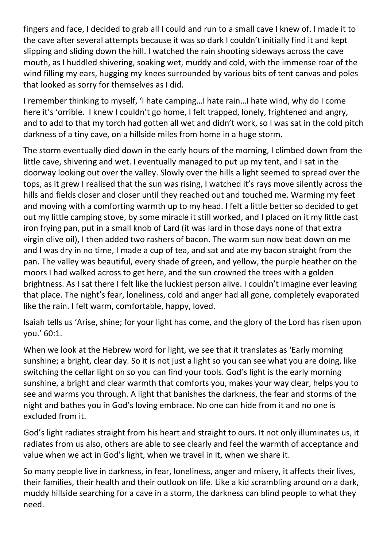fingers and face, I decided to grab all I could and run to a small cave I knew of. I made it to the cave after several attempts because it was so dark I couldn't initially find it and kept slipping and sliding down the hill. I watched the rain shooting sideways across the cave mouth, as I huddled shivering, soaking wet, muddy and cold, with the immense roar of the wind filling my ears, hugging my knees surrounded by various bits of tent canvas and poles that looked as sorry for themselves as I did.

I remember thinking to myself, 'I hate camping…I hate rain…I hate wind, why do I come here it's 'orrible. I knew I couldn't go home, I felt trapped, lonely, frightened and angry, and to add to that my torch had gotten all wet and didn't work, so I was sat in the cold pitch darkness of a tiny cave, on a hillside miles from home in a huge storm.

The storm eventually died down in the early hours of the morning, I climbed down from the little cave, shivering and wet. I eventually managed to put up my tent, and I sat in the doorway looking out over the valley. Slowly over the hills a light seemed to spread over the tops, as it grew I realised that the sun was rising, I watched it's rays move silently across the hills and fields closer and closer until they reached out and touched me. Warming my feet and moving with a comforting warmth up to my head. I felt a little better so decided to get out my little camping stove, by some miracle it still worked, and I placed on it my little cast iron frying pan, put in a small knob of Lard (it was lard in those days none of that extra virgin olive oil), I then added two rashers of bacon. The warm sun now beat down on me and I was dry in no time, I made a cup of tea, and sat and ate my bacon straight from the pan. The valley was beautiful, every shade of green, and yellow, the purple heather on the moors I had walked across to get here, and the sun crowned the trees with a golden brightness. As I sat there I felt like the luckiest person alive. I couldn't imagine ever leaving that place. The night's fear, loneliness, cold and anger had all gone, completely evaporated like the rain. I felt warm, comfortable, happy, loved.

Isaiah tells us 'Arise, shine; for your light has come, and the glory of the Lord has risen upon you.' 60:1.

When we look at the Hebrew word for light, we see that it translates as 'Early morning sunshine; a bright, clear day. So it is not just a light so you can see what you are doing, like switching the cellar light on so you can find your tools. God's light is the early morning sunshine, a bright and clear warmth that comforts you, makes your way clear, helps you to see and warms you through. A light that banishes the darkness, the fear and storms of the night and bathes you in God's loving embrace. No one can hide from it and no one is excluded from it.

God's light radiates straight from his heart and straight to ours. It not only illuminates us, it radiates from us also, others are able to see clearly and feel the warmth of acceptance and value when we act in God's light, when we travel in it, when we share it.

So many people live in darkness, in fear, loneliness, anger and misery, it affects their lives, their families, their health and their outlook on life. Like a kid scrambling around on a dark, muddy hillside searching for a cave in a storm, the darkness can blind people to what they need.